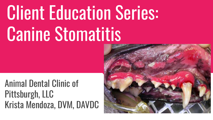## **Client Education Series:** Canine Stomatitis

Animal Dental Clinic of Pittsburgh, LLC Krista Mendoza, DVM, DAVDC

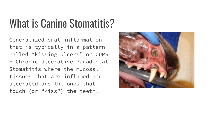## What is Canine Stomatitis?

Generalized oral inflammation that is typically in a pattern called "kissing ulcers" or CUPS - Chronic Ulcerative Paradental Stomatitis where the mucosal tissues that are inflamed and ulcerated are the ones that touch (or "kiss") the teeth.

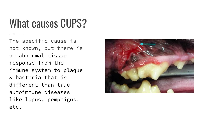What causes CUPS?

The specific cause is not known, but there is an abnormal tissue response from the immune system to plaque & bacteria that is different than true autoimmune diseases like lupus, pemphigus, etc.

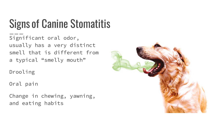## Signs of Canine Stomatitis

Significant oral odor, usually has a very distinct smell that is different from a typical "smelly mouth"

Drooling

Oral pain

Change in chewing, yawning, and eating habits